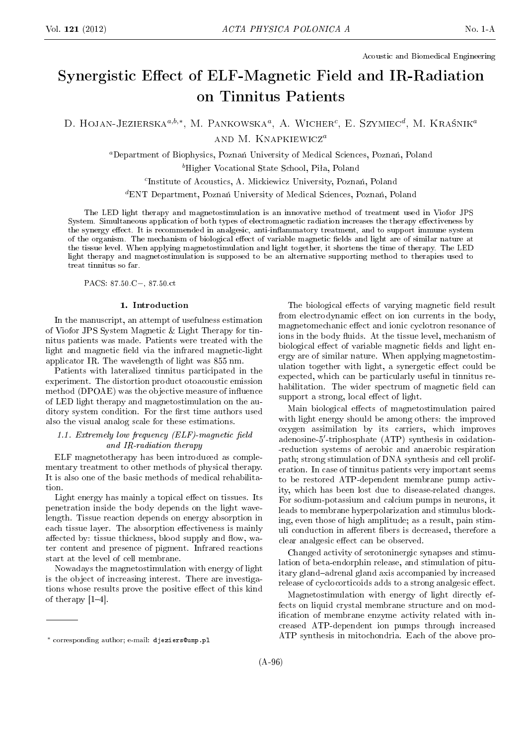Acoustic and Biomedical Engineering

# Synergistic Effect of ELF-Magnetic Field and IR-Radiation on Tinnitus Patients

D. HOJAN-JEZIERSKA $^{a,b,*}$ , M. PANKOWSKA $^a$ , A. Wicher<sup>c</sup>, E. Szymiec<sup>d</sup>, M. Kraśnik<sup>a</sup> and M. Knapkiewicz<sup>a</sup>

<sup>a</sup>Department of Biophysics, Poznań University of Medical Sciences, Poznań, Poland

<sup>b</sup>Higher Vocational State School, Piła, Poland

<sup>c</sup>Institute of Acoustics, A. Mickiewicz University, Poznań, Poland

 ${}^{d}$ ENT Department, Poznań University of Medical Sciences, Poznań, Poland

The LED light therapy and magnetostimulation is an innovative method of treatment used in Viofor JPS System. Simultaneous application of both types of electromagnetic radiation increases the therapy effectiveness by the synergy effect. It is recommended in analgesic, anti-inflammatory treatment, and to support immune system of the organism. The mechanism of biological effect of variable magnetic fields and light are of similar nature at the tissue level. When applying magnetostimulation and light together, it shortens the time of therapy. The LED light therapy and magnetostimulation is supposed to be an alternative supporting method to therapies used to treat tinnitus so far.

PACS: 87.50.C−, 87.50.ct

# 1. Introduction

In the manuscript, an attempt of usefulness estimation of Viofor JPS System Magnetic & Light Therapy for tinnitus patients was made. Patients were treated with the light and magnetic field via the infrared magnetic-light applicator IR. The wavelength of light was 855 nm.

Patients with lateralized tinnitus participated in the experiment. The distortion product otoacoustic emission method (DPOAE) was the objective measure of influence of LED light therapy and magnetostimulation on the auditory system condition. For the first time authors used also the visual analog scale for these estimations.

# 1.1. Extremely low frequency  $(ELF)$ -magnetic field and IR-radiation therapy

ELF magnetotherapy has been introduced as complementary treatment to other methods of physical therapy. It is also one of the basic methods of medical rehabilitation.

Light energy has mainly a topical effect on tissues. Its penetration inside the body depends on the light wavelength. Tissue reaction depends on energy absorption in each tissue layer. The absorption effectiveness is mainly affected by: tissue thickness, blood supply and flow, water content and presence of pigment. Infrared reactions start at the level of cell membrane.

Nowadays the magnetostimulation with energy of light is the object of increasing interest. There are investigations whose results prove the positive effect of this kind of therapy  $[1-4]$ .

The biological effects of varying magnetic field result from electrodynamic effect on ion currents in the body, magnetomechanic effect and ionic cyclotron resonance of ions in the body fluids. At the tissue level, mechanism of biological effect of variable magnetic fields and light energy are of similar nature. When applying magnetostimulation together with light, a synergetic effect could be expected, which can be particularly useful in tinnitus rehabilitation. The wider spectrum of magnetic field can support a strong, local effect of light.

Main biological effects of magnetostimulation paired with light energy should be among others: the improved oxygen assimilation by its carriers, which improves adenosine-5′ -triphosphate (ATP) synthesis in oxidation- -reduction systems of aerobic and anaerobic respiration path; strong stimulation of DNA synthesis and cell proliferation. In case of tinnitus patients very important seems to be restored ATP-dependent membrane pump activity, which has been lost due to disease-related changes. For sodium-potassium and calcium pumps in neurons, it leads to membrane hyperpolarization and stimulus blocking, even those of high amplitude; as a result, pain stimuli conduction in afferent fibers is decreased, therefore a clear analgesic effect can be observed.

Changed activity of serotoninergic synapses and stimulation of beta-endorphin release, and stimulation of pituitary gland-adrenal gland axis accompanied by increased release of cyclocorticoids adds to a strong analgesic effect.

Magnetostimulation with energy of light directly effects on liquid crystal membrane structure and on modification of membrane enzyme activity related with increased ATP-dependent ion pumps through increased ATP synthesis in mitochondria. Each of the above pro-

<sup>∗</sup> corresponding author; e-mail: djeziers@ump.pl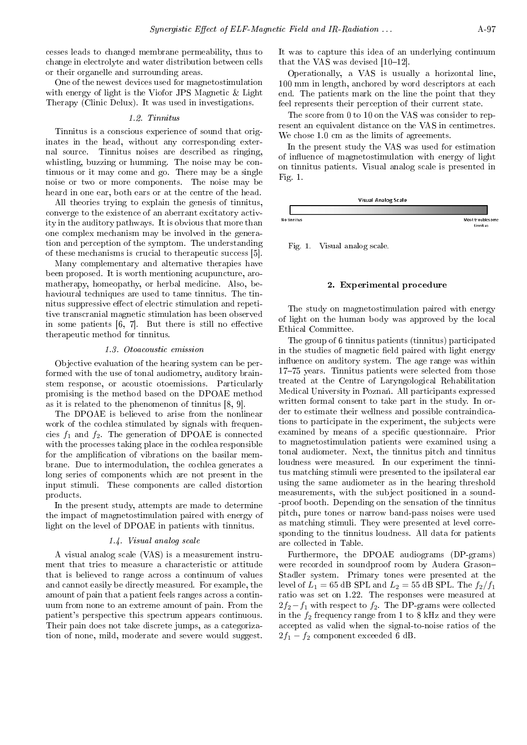cesses leads to changed membrane permeability, thus to change in electrolyte and water distribution between cells or their organelle and surrounding areas.

One of the newest devices used for magnetostimulation with energy of light is the Viofor JPS Magnetic & Light Therapy (Clinic Delux). It was used in investigations.

### 1.2. Tinnitus

Tinnitus is a conscious experience of sound that originates in the head, without any corresponding external source. Tinnitus noises are described as ringing, whistling, buzzing or humming. The noise may be continuous or it may come and go. There may be a single noise or two or more components. The noise may be heard in one ear, both ears or at the centre of the head.

All theories trying to explain the genesis of tinnitus, converge to the existence of an aberrant excitatory activity in the auditory pathways. It is obvious that more than one complex mechanism may be involved in the generation and perception of the symptom. The understanding of these mechanisms is crucial to therapeutic success [5].

Many complementary and alternative therapies have been proposed. It is worth mentioning acupuncture, aromatherapy, homeopathy, or herbal medicine. Also, behavioural techniques are used to tame tinnitus. The tinnitus suppressive effect of electric stimulation and repetitive transcranial magnetic stimulation has been observed in some patients  $[6, 7]$ . But there is still no effective therapeutic method for tinnitus.

#### 1.3. Otoacoustic emission

Objective evaluation of the hearing system can be performed with the use of tonal audiometry, auditory brainstem response, or acoustic otoemissions. Particularly promising is the method based on the DPOAE method as it is related to the phenomenon of tinnitus [8, 9].

The DPOAE is believed to arise from the nonlinear work of the cochlea stimulated by signals with frequencies  $f_1$  and  $f_2$ . The generation of DPOAE is connected with the processes taking place in the cochlea responsible for the amplication of vibrations on the basilar membrane. Due to intermodulation, the cochlea generates a long series of components which are not present in the input stimuli. These components are called distortion products.

In the present study, attempts are made to determine the impact of magnetostimulation paired with energy of light on the level of DPOAE in patients with tinnitus.

#### 1.4. Visual analog scale

A visual analog scale (VAS) is a measurement instrument that tries to measure a characteristic or attitude that is believed to range across a continuum of values and cannot easily be directly measured. For example, the amount of pain that a patient feels ranges across a continuum from none to an extreme amount of pain. From the patient's perspective this spectrum appears continuous. Their pain does not take discrete jumps, as a categorization of none, mild, moderate and severe would suggest. It was to capture this idea of an underlying continuum that the VAS was devised  $[10-12]$ .

Operationally, a VAS is usually a horizontal line, 100 mm in length, anchored by word descriptors at each end. The patients mark on the line the point that they feel represents their perception of their current state.

The score from 0 to 10 on the VAS was consider to represent an equivalent distance on the VAS in centimetres. We chose 1.0 cm as the limits of agreements.

In the present study the VAS was used for estimation of influence of magnetostimulation with energy of light on tinnitus patients. Visual analog scale is presented in Fig. 1.



Fig. 1. Visual analog scale.

## 2. Experimental procedure

The study on magnetostimulation paired with energy of light on the human body was approved by the local Ethical Committee.

The group of 6 tinnitus patients (tinnitus) participated in the studies of magnetic field paired with light energy influence on auditory system. The age range was within 17-75 years. Tinnitus patients were selected from those treated at the Centre of Laryngological Rehabilitation Medical University in Poznań. All participants expressed written formal consent to take part in the study. In order to estimate their wellness and possible contraindications to participate in the experiment, the subjects were examined by means of a specific questionnaire. Prior to magnetostimulation patients were examined using a tonal audiometer. Next, the tinnitus pitch and tinnitus loudness were measured. In our experiment the tinnitus matching stimuli were presented to the ipsilateral ear using the same audiometer as in the hearing threshold measurements, with the subject positioned in a sound- -proof booth. Depending on the sensation of the tinnitus pitch, pure tones or narrow band-pass noises were used as matching stimuli. They were presented at level corresponding to the tinnitus loudness. All data for patients are collected in Table.

Furthermore, the DPOAE audiograms (DP-grams) were recorded in soundproof room by Audera Grason Stadler system. Primary tones were presented at the level of  $L_1 = 65$  dB SPL and  $L_2 = 55$  dB SPL. The  $f_2/f_1$ ratio was set on 1.22. The responses were measured at  $2f_2-f_1$  with respect to  $f_2$ . The DP-grams were collected in the  $f_2$  frequency range from 1 to 8 kHz and they were accepted as valid when the signal-to-noise ratios of the  $2f_1 - f_2$  component exceeded 6 dB.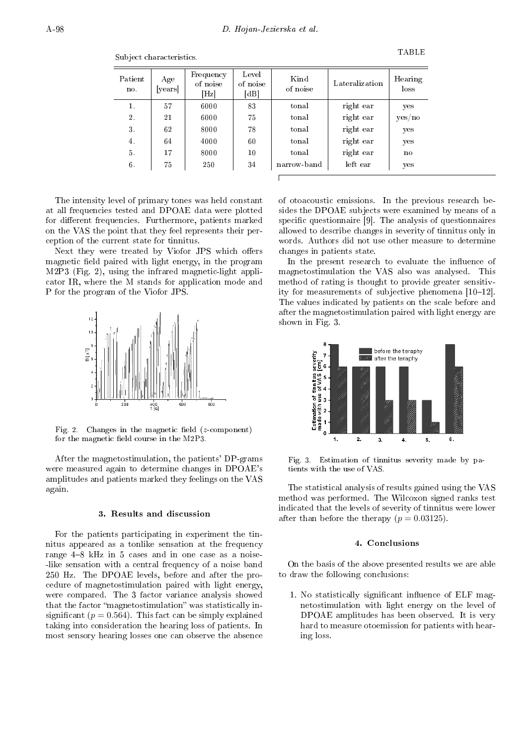Patient no. Age [years] Frequency of noise [Hz] Level of noise [dB] Kind of noise Lateralization | Hearing loss 1. | 57 | 6000 | 83 | tonal | right ear | yes 2. | 21 | 6000 | 75 | tonal | right ear | yes/no 3. 62 8000 78 tonal right ear yes 4. 64 4000 60 tonal right ear yes 5. 17 8000 10 tonal right ear no 6. 75 250 34 narrow-band left ear yes

Subject characteristics.

The intensity level of primary tones was held constant at all frequencies tested and DPOAE data were plotted for different frequencies. Furthermore, patients marked on the VAS the point that they feel represents their perception of the current state for tinnitus.

Next they were treated by Viofor JPS which offers magnetic field paired with light energy, in the program M2P3 (Fig. 2), using the infrared magnetic-light applicator IR, where the M stands for application mode and P for the program of the Viofor JPS.



Fig. 2. Changes in the magnetic field  $(z$ -component) for the magnetic field course in the M2P3.

After the magnetostimulation, the patients' DP-grams were measured again to determine changes in DPOAE's amplitudes and patients marked they feelings on the VAS again.

# 3. Results and discussion

For the patients participating in experiment the tinnitus appeared as a tonlike sensation at the frequency range  $4-8$  kHz in 5 cases and in one case as a noise--like sensation with a central frequency of a noise band 250 Hz. The DPOAE levels, before and after the procedure of magnetostimulation paired with light energy, were compared. The 3 factor variance analysis showed that the factor "magnetostimulation" was statistically insignificant ( $p = 0.564$ ). This fact can be simply explained taking into consideration the hearing loss of patients. In most sensory hearing losses one can observe the absence

of otoacoustic emissions. In the previous research besides the DPOAE subjects were examined by means of a specific questionnaire [9]. The analysis of questionnaires allowed to describe changes in severity of tinnitus only in words. Authors did not use other measure to determine changes in patients state.

In the present research to evaluate the influence of magnetostimulation the VAS also was analysed. This method of rating is thought to provide greater sensitivity for measurements of subjective phenomena  $[10-12]$ . The values indicated by patients on the scale before and after the magnetostimulation paired with light energy are shown in Fig. 3.



Fig. 3. Estimation of tinnitus severity made by patients with the use of VAS.

The statistical analysis of results gained using the VAS method was performed. The Wilcoxon signed ranks test indicated that the levels of severity of tinnitus were lower after than before the therapy  $(p = 0.03125)$ .

#### 4. Conclusions

On the basis of the above presented results we are able to draw the following conclusions:

1. No statistically significant influence of ELF magnetostimulation with light energy on the level of DPOAE amplitudes has been observed. It is very hard to measure otoemission for patients with hearing loss.